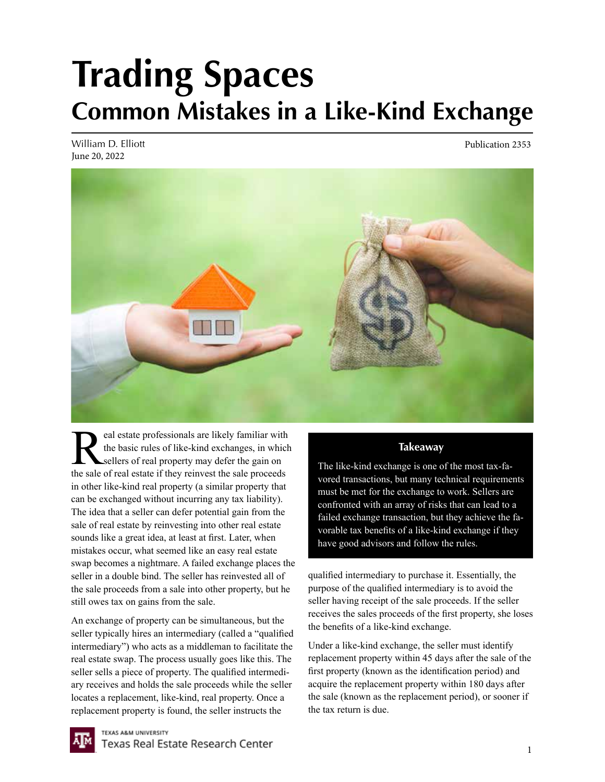# **Trading Spaces Common Mistakes in a Like-Kind Exchange**

William D. Elliott June 20, 2022

Publication 2353



Example 1 and estate professionals are likely familiar with<br>the basic rules of like-kind exchanges, in which<br>sellers of real estate if they reinvest the sale proceeds the basic rules of like-kind exchanges, in which sellers of real property may defer the gain on the sale of real estate if they reinvest the sale proceeds in other like-kind real property (a similar property that can be exchanged without incurring any tax liability). The idea that a seller can defer potential gain from the sale of real estate by reinvesting into other real estate sounds like a great idea, at least at first. Later, when mistakes occur, what seemed like an easy real estate swap becomes a nightmare. A failed exchange places the seller in a double bind. The seller has reinvested all of the sale proceeds from a sale into other property, but he still owes tax on gains from the sale.

An exchange of property can be simultaneous, but the seller typically hires an intermediary (called a "qualified intermediary") who acts as a middleman to facilitate the real estate swap. The process usually goes like this. The seller sells a piece of property. The qualified intermediary receives and holds the sale proceeds while the seller locates a replacement, like-kind, real property. Once a replacement property is found, the seller instructs the

#### **Takeaway**

The like-kind exchange is one of the most tax-favored transactions, but many technical requirements must be met for the exchange to work. Sellers are confronted with an array of risks that can lead to a failed exchange transaction, but they achieve the favorable tax benefits of a like-kind exchange if they have good advisors and follow the rules.

qualified intermediary to purchase it. Essentially, the purpose of the qualified intermediary is to avoid the seller having receipt of the sale proceeds. If the seller receives the sales proceeds of the first property, she loses the benefits of a like-kind exchange.

Under a like-kind exchange, the seller must identify replacement property within 45 days after the sale of the first property (known as the identification period) and acquire the replacement property within 180 days after the sale (known as the replacement period), or sooner if the tax return is due.

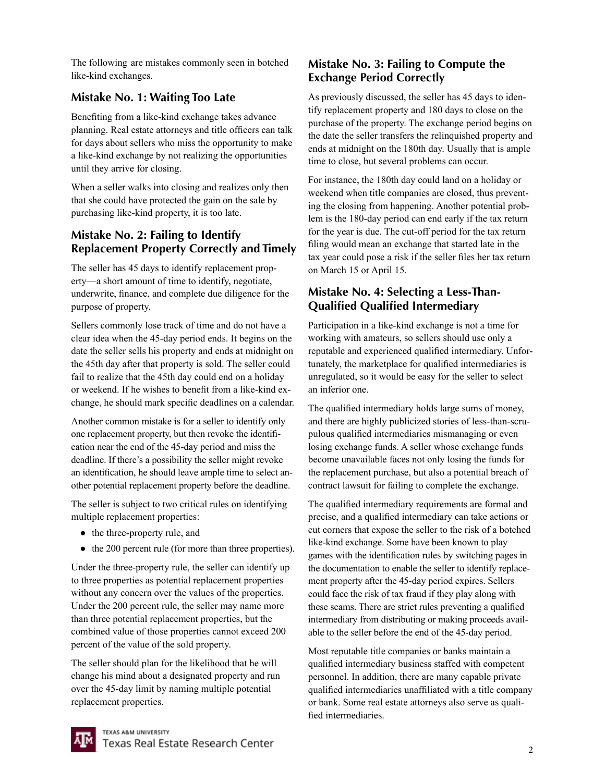The following are mistakes commonly seen in botched like-kind exchanges.

# **Mistake No. 1: Waiting Too Late**

Benefiting from a like-kind exchange takes advance planning. Real estate attorneys and title officers can talk for days about sellers who miss the opportunity to make a like-kind exchange by not realizing the opportunities until they arrive for closing.

When a seller walks into closing and realizes only then that she could have protected the gain on the sale by purchasing like-kind property, it is too late.

# **Mistake No. 2: Failing to Identify Replacement Property Correctly and Timely**

The seller has 45 days to identify replacement property—a short amount of time to identify, negotiate, underwrite, finance, and complete due diligence for the purpose of property.

Sellers commonly lose track of time and do not have a clear idea when the 45-day period ends. It begins on the date the seller sells his property and ends at midnight on the 45th day after that property is sold. The seller could fail to realize that the 45th day could end on a holiday or weekend. If he wishes to benefit from a like-kind exchange, he should mark specific deadlines on a calendar.

Another common mistake is for a seller to identify only one replacement property, but then revoke the identification near the end of the 45-day period and miss the deadline. If there's a possibility the seller might revoke an identification, he should leave ample time to select another potential replacement property before the deadline.

The seller is subject to two critical rules on identifying multiple replacement properties:

- the three-property rule, and
- the 200 percent rule (for more than three properties).

Under the three-property rule, the seller can identify up to three properties as potential replacement properties without any concern over the values of the properties. Under the 200 percent rule, the seller may name more than three potential replacement properties, but the combined value of those properties cannot exceed 200 percent of the value of the sold property.

The seller should plan for the likelihood that he will change his mind about a designated property and run over the 45-day limit by naming multiple potential replacement properties.

# **Mistake No. 3: Failing to Compute the Exchange Period Correctly**

As previously discussed, the seller has 45 days to identify replacement property and 180 days to close on the purchase of the property. The exchange period begins on the date the seller transfers the relinquished property and ends at midnight on the 180th day. Usually that is ample time to close, but several problems can occur.

For instance, the 180th day could land on a holiday or weekend when title companies are closed, thus preventing the closing from happening. Another potential problem is the 180-day period can end early if the tax return for the year is due. The cut-off period for the tax return filing would mean an exchange that started late in the tax year could pose a risk if the seller files her tax return on March 15 or April 15.

## **Mistake No. 4: Selecting a Less-Than-Qualified Qualified Intermediary**

Participation in a like-kind exchange is not a time for working with amateurs, so sellers should use only a reputable and experienced qualified intermediary. Unfortunately, the marketplace for qualified intermediaries is unregulated, so it would be easy for the seller to select an inferior one.

The qualified intermediary holds large sums of money, and there are highly publicized stories of less-than-scrupulous qualified intermediaries mismanaging or even losing exchange funds. A seller whose exchange funds become unavailable faces not only losing the funds for the replacement purchase, but also a potential breach of contract lawsuit for failing to complete the exchange.

The qualified intermediary requirements are formal and precise, and a qualified intermediary can take actions or cut corners that expose the seller to the risk of a botched like-kind exchange. Some have been known to play games with the identification rules by switching pages in the documentation to enable the seller to identify replacement property after the 45-day period expires. Sellers could face the risk of tax fraud if they play along with these scams. There are strict rules preventing a qualified intermediary from distributing or making proceeds available to the seller before the end of the 45-day period.

Most reputable title companies or banks maintain a qualified intermediary business staffed with competent personnel. In addition, there are many capable private qualified intermediaries unaffiliated with a title company or bank. Some real estate attorneys also serve as qualified intermediaries.



**TEXAS A&M UNIVERSITY** Texas Real Estate Research Center